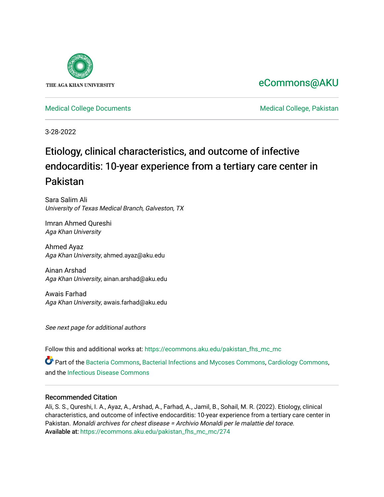

## [eCommons@AKU](https://ecommons.aku.edu/)

[Medical College Documents](https://ecommons.aku.edu/pakistan_fhs_mc_mc) **Medical College, Pakistan** 

3-28-2022

# Etiology, clinical characteristics, and outcome of infective endocarditis: 10-year experience from a tertiary care center in Pakistan

Sara Salim Ali University of Texas Medical Branch, Galveston, TX

Imran Ahmed Qureshi Aga Khan University

Ahmed Ayaz Aga Khan University, ahmed.ayaz@aku.edu

Ainan Arshad Aga Khan University, ainan.arshad@aku.edu

Awais Farhad Aga Khan University, awais.farhad@aku.edu

See next page for additional authors

Follow this and additional works at: [https://ecommons.aku.edu/pakistan\\_fhs\\_mc\\_mc](https://ecommons.aku.edu/pakistan_fhs_mc_mc?utm_source=ecommons.aku.edu%2Fpakistan_fhs_mc_mc%2F274&utm_medium=PDF&utm_campaign=PDFCoverPages) 

Part of the [Bacteria Commons,](http://network.bepress.com/hgg/discipline/985?utm_source=ecommons.aku.edu%2Fpakistan_fhs_mc_mc%2F274&utm_medium=PDF&utm_campaign=PDFCoverPages) [Bacterial Infections and Mycoses Commons,](http://network.bepress.com/hgg/discipline/966?utm_source=ecommons.aku.edu%2Fpakistan_fhs_mc_mc%2F274&utm_medium=PDF&utm_campaign=PDFCoverPages) [Cardiology Commons](http://network.bepress.com/hgg/discipline/683?utm_source=ecommons.aku.edu%2Fpakistan_fhs_mc_mc%2F274&utm_medium=PDF&utm_campaign=PDFCoverPages), and the [Infectious Disease Commons](http://network.bepress.com/hgg/discipline/689?utm_source=ecommons.aku.edu%2Fpakistan_fhs_mc_mc%2F274&utm_medium=PDF&utm_campaign=PDFCoverPages)

#### Recommended Citation

Ali, S. S., Qureshi, I. A., Ayaz, A., Arshad, A., Farhad, A., Jamil, B., Sohail, M. R. (2022). Etiology, clinical characteristics, and outcome of infective endocarditis: 10-year experience from a tertiary care center in Pakistan. Monaldi archives for chest disease = Archivio Monaldi per le malattie del torace. Available at: [https://ecommons.aku.edu/pakistan\\_fhs\\_mc\\_mc/274](https://ecommons.aku.edu/pakistan_fhs_mc_mc/274)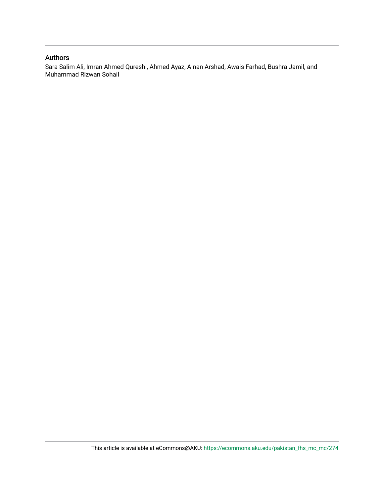#### Authors

Sara Salim Ali, Imran Ahmed Qureshi, Ahmed Ayaz, Ainan Arshad, Awais Farhad, Bushra Jamil, and Muhammad Rizwan Sohail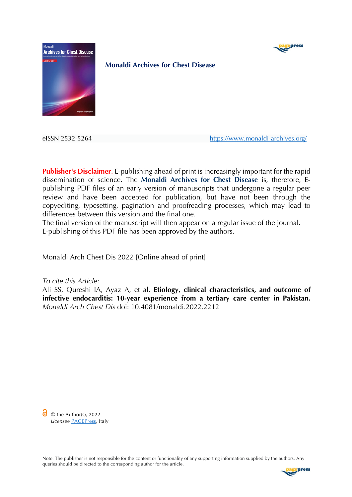



**Monaldi Archives for Chest Disease**

eISSN 2532-5264 https://www.monaldi-archives.org/

**Publisher's Disclaimer**. E-publishing ahead of print is increasingly important for the rapid dissemination of science. The **Monaldi Archives for Chest Disease** is, therefore, Epublishing PDF files of an early version of manuscripts that undergone a regular peer review and have been accepted for publication, but have not been through the copyediting, typesetting, pagination and proofreading processes, which may lead to differences between this version and the final one.

The final version of the manuscript will then appear on a regular issue of the journal. E-publishing of this PDF file has been approved by the authors.

Monaldi Arch Chest Dis 2022 [Online ahead of print]

*To cite this Article:*

Ali SS, Qureshi IA, Ayaz A, et al. **Etiology, clinical characteristics, and outcome of infective endocarditis: 10-year experience from a tertiary care center in Pakistan.** *Monaldi Arch Chest Dis* doi: 10.4081/monaldi.2022.2212

 $\odot$   $\odot$  the Author(s), 2022 *Licensee* PAGEPress, Italy

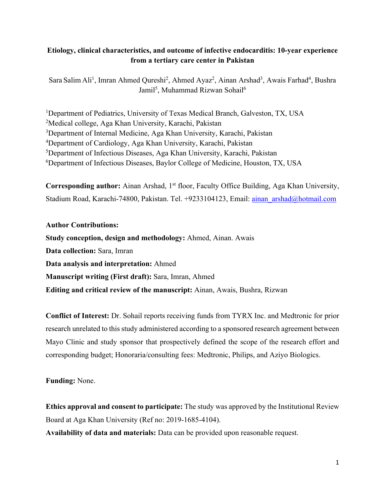## **Etiology, clinical characteristics, and outcome of infective endocarditis: 10-year experience from a tertiary care center in Pakistan**

Sara Salim Ali<sup>1</sup>, Imran Ahmed Qureshi<sup>2</sup>, Ahmed Ayaz<sup>2</sup>, Ainan Arshad<sup>3</sup>, Awais Farhad<sup>4</sup>, Bushra Jamil<sup>5</sup>, Muhammad Rizwan Sohail<sup>6</sup>

<sup>1</sup>Department of Pediatrics, University of Texas Medical Branch, Galveston, TX, USA Medical college, Aga Khan University, Karachi, Pakistan <sup>3</sup>Department of Internal Medicine, Aga Khan University, Karachi, Pakistan Department of Cardiology, Aga Khan University, Karachi, Pakistan Department of Infectious Diseases, Aga Khan University, Karachi, Pakistan Department of Infectious Diseases, Baylor College of Medicine, Houston, TX, USA

**Corresponding author:** Ainan Arshad, 1<sup>st</sup> floor, Faculty Office Building, Aga Khan University, Stadium Road, Karachi-74800, Pakistan. Tel. +9233104123, Email: ainan\_arshad@hotmail.com

#### **Author Contributions:**

**Study conception, design and methodology:** Ahmed, Ainan. Awais **Data collection:** Sara, Imran **Data analysis and interpretation:** Ahmed **Manuscript writing (First draft):** Sara, Imran, Ahmed **Editing and critical review of the manuscript:** Ainan, Awais, Bushra, Rizwan

**Conflict of Interest:** Dr. Sohail reports receiving funds from TYRX Inc. and Medtronic for prior research unrelated to this study administered according to a sponsored research agreement between Mayo Clinic and study sponsor that prospectively defined the scope of the research effort and corresponding budget; Honoraria/consulting fees: Medtronic, Philips, and Aziyo Biologics.

**Funding:** None.

**Ethics approval and consent to participate:** The study was approved by the Institutional Review Board at Aga Khan University (Ref no: 2019-1685-4104).

**Availability of data and materials:** Data can be provided upon reasonable request.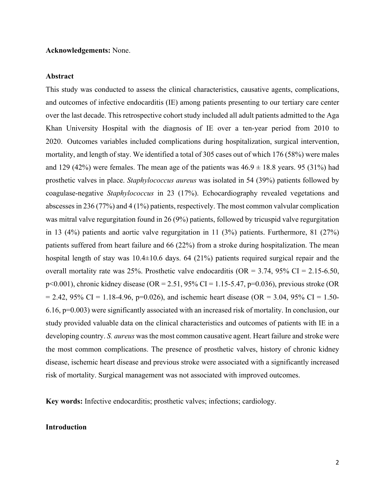#### **Acknowledgements:** None.

#### **Abstract**

This study was conducted to assess the clinical characteristics, causative agents, complications, and outcomes of infective endocarditis (IE) among patients presenting to our tertiary care center over the last decade. This retrospective cohort study included all adult patients admitted to the Aga Khan University Hospital with the diagnosis of IE over a ten-year period from 2010 to 2020. Outcomes variables included complications during hospitalization, surgical intervention, mortality, and length of stay. We identified a total of 305 cases out of which 176 (58%) were males and 129 (42%) were females. The mean age of the patients was  $46.9 \pm 18.8$  years. 95 (31%) had prosthetic valves in place. *Staphylococcus aureus* was isolated in 54 (39%) patients followed by coagulase-negative *Staphylococcus* in 23 (17%). Echocardiography revealed vegetations and abscesses in 236 (77%) and 4 (1%) patients, respectively. The most common valvular complication was mitral valve regurgitation found in 26 (9%) patients, followed by tricuspid valve regurgitation in 13 (4%) patients and aortic valve regurgitation in 11 (3%) patients. Furthermore, 81 (27%) patients suffered from heart failure and 66 (22%) from a stroke during hospitalization. The mean hospital length of stay was  $10.4 \pm 10.6$  days. 64 (21%) patients required surgical repair and the overall mortality rate was 25%. Prosthetic valve endocarditis ( $OR = 3.74$ , 95% CI = 2.15-6.50, p<0.001), chronic kidney disease (OR = 2.51, 95% CI = 1.15-5.47, p=0.036), previous stroke (OR  $= 2.42, 95\% \text{ CI} = 1.18-4.96, \text{p} = 0.026$ , and ischemic heart disease (OR = 3.04, 95% CI = 1.50-6.16, p=0.003) were significantly associated with an increased risk of mortality. In conclusion, our study provided valuable data on the clinical characteristics and outcomes of patients with IE in a developing country. *S. aureus* was the most common causative agent. Heart failure and stroke were the most common complications. The presence of prosthetic valves, history of chronic kidney disease, ischemic heart disease and previous stroke were associated with a significantly increased risk of mortality. Surgical management was not associated with improved outcomes.

**Key words:** Infective endocarditis; prosthetic valves; infections; cardiology.

#### **Introduction**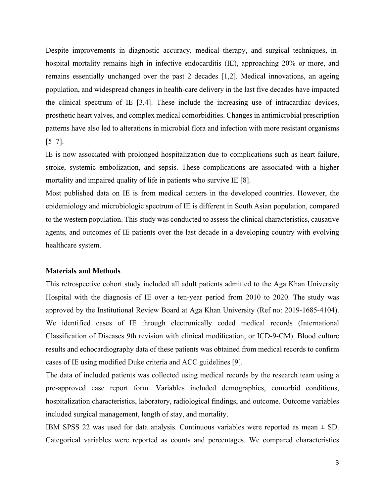Despite improvements in diagnostic accuracy, medical therapy, and surgical techniques, inhospital mortality remains high in infective endocarditis (IE), approaching 20% or more, and remains essentially unchanged over the past 2 decades [1,2]. Medical innovations, an ageing population, and widespread changes in health-care delivery in the last five decades have impacted the clinical spectrum of IE [3,4]. These include the increasing use of intracardiac devices, prosthetic heart valves, and complex medical comorbidities. Changes in antimicrobial prescription patterns have also led to alterations in microbial flora and infection with more resistant organisms  $[5-7]$ .

IE is now associated with prolonged hospitalization due to complications such as heart failure, stroke, systemic embolization, and sepsis. These complications are associated with a higher mortality and impaired quality of life in patients who survive IE [8].

Most published data on IE is from medical centers in the developed countries. However, the epidemiology and microbiologic spectrum of IE is different in South Asian population, compared to the western population. This study was conducted to assess the clinical characteristics, causative agents, and outcomes of IE patients over the last decade in a developing country with evolving healthcare system.

#### **Materials and Methods**

This retrospective cohort study included all adult patients admitted to the Aga Khan University Hospital with the diagnosis of IE over a ten-year period from 2010 to 2020. The study was approved by the Institutional Review Board at Aga Khan University (Ref no: 2019-1685-4104). We identified cases of IE through electronically coded medical records (International Classification of Diseases 9th revision with clinical modification, or ICD-9-CM). Blood culture results and echocardiography data of these patients was obtained from medical records to confirm cases of IE using modified Duke criteria and ACC guidelines [9].

The data of included patients was collected using medical records by the research team using a pre-approved case report form. Variables included demographics, comorbid conditions, hospitalization characteristics, laboratory, radiological findings, and outcome. Outcome variables included surgical management, length of stay, and mortality.

IBM SPSS 22 was used for data analysis. Continuous variables were reported as mean  $\pm$  SD. Categorical variables were reported as counts and percentages. We compared characteristics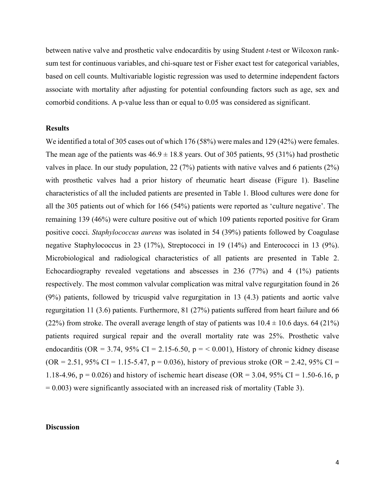between native valve and prosthetic valve endocarditis by using Student *t*-test or Wilcoxon ranksum test for continuous variables, and chi-square test or Fisher exact test for categorical variables, based on cell counts. Multivariable logistic regression was used to determine independent factors associate with mortality after adjusting for potential confounding factors such as age, sex and comorbid conditions. A p-value less than or equal to 0.05 was considered as significant.

#### **Results**

We identified a total of 305 cases out of which 176 (58%) were males and 129 (42%) were females. The mean age of the patients was  $46.9 \pm 18.8$  years. Out of 305 patients, 95 (31%) had prosthetic valves in place. In our study population, 22 (7%) patients with native valves and 6 patients (2%) with prosthetic valves had a prior history of rheumatic heart disease (Figure 1). Baseline characteristics of all the included patients are presented in Table 1. Blood cultures were done for all the 305 patients out of which for 166 (54%) patients were reported as 'culture negative'. The remaining 139 (46%) were culture positive out of which 109 patients reported positive for Gram positive cocci. *Staphylococcus aureus* was isolated in 54 (39%) patients followed by Coagulase negative Staphylococcus in 23 (17%), Streptococci in 19 (14%) and Enterococci in 13 (9%). Microbiological and radiological characteristics of all patients are presented in Table 2. Echocardiography revealed vegetations and abscesses in 236 (77%) and 4 (1%) patients respectively. The most common valvular complication was mitral valve regurgitation found in 26 (9%) patients, followed by tricuspid valve regurgitation in 13 (4.3) patients and aortic valve regurgitation 11 (3.6) patients. Furthermore, 81 (27%) patients suffered from heart failure and 66 (22%) from stroke. The overall average length of stay of patients was  $10.4 \pm 10.6$  days. 64 (21%) patients required surgical repair and the overall mortality rate was 25%. Prosthetic valve endocarditis (OR = 3.74, 95% CI = 2.15-6.50,  $p = 0.001$ ), History of chronic kidney disease  $(OR = 2.51, 95\% \text{ CI} = 1.15 - 5.47, p = 0.036)$ , history of previous stroke  $(OR = 2.42, 95\% \text{ CI} =$ 1.18-4.96,  $p = 0.026$ ) and history of ischemic heart disease (OR = 3.04, 95% CI = 1.50-6.16, p  $= 0.003$ ) were significantly associated with an increased risk of mortality (Table 3).

#### **Discussion**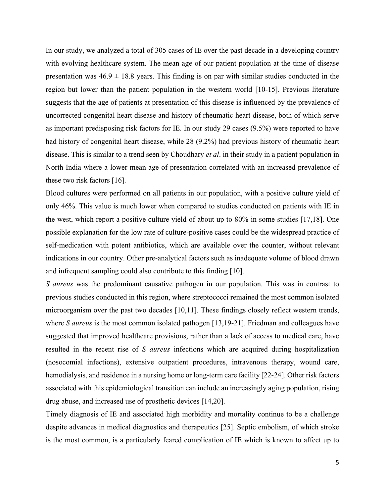In our study, we analyzed a total of 305 cases of IE over the past decade in a developing country with evolving healthcare system. The mean age of our patient population at the time of disease presentation was  $46.9 \pm 18.8$  years. This finding is on par with similar studies conducted in the region but lower than the patient population in the western world [10-15]. Previous literature suggests that the age of patients at presentation of this disease is influenced by the prevalence of uncorrected congenital heart disease and history of rheumatic heart disease, both of which serve as important predisposing risk factors for IE. In our study 29 cases (9.5%) were reported to have had history of congenital heart disease, while 28 (9.2%) had previous history of rheumatic heart disease. This is similar to a trend seen by Choudhary *et al*. in their study in a patient population in North India where a lower mean age of presentation correlated with an increased prevalence of these two risk factors [16].

Blood cultures were performed on all patients in our population, with a positive culture yield of only 46%. This value is much lower when compared to studies conducted on patients with IE in the west, which report a positive culture yield of about up to 80% in some studies [17,18]. One possible explanation for the low rate of culture-positive cases could be the widespread practice of self-medication with potent antibiotics, which are available over the counter, without relevant indications in our country. Other pre-analytical factors such as inadequate volume of blood drawn and infrequent sampling could also contribute to this finding [10].

*S aureus* was the predominant causative pathogen in our population. This was in contrast to previous studies conducted in this region, where streptococci remained the most common isolated microorganism over the past two decades [10,11]. These findings closely reflect western trends, where *S aureus* is the most common isolated pathogen [13,19-21]. Friedman and colleagues have suggested that improved healthcare provisions, rather than a lack of access to medical care, have resulted in the recent rise of *S aureus* infections which are acquired during hospitalization (nosocomial infections), extensive outpatient procedures, intravenous therapy, wound care, hemodialysis, and residence in a nursing home or long-term care facility [22-24]. Other risk factors associated with this epidemiological transition can include an increasingly aging population, rising drug abuse, and increased use of prosthetic devices [14,20].

Timely diagnosis of IE and associated high morbidity and mortality continue to be a challenge despite advances in medical diagnostics and therapeutics [25]. Septic embolism, of which stroke is the most common, is a particularly feared complication of IE which is known to affect up to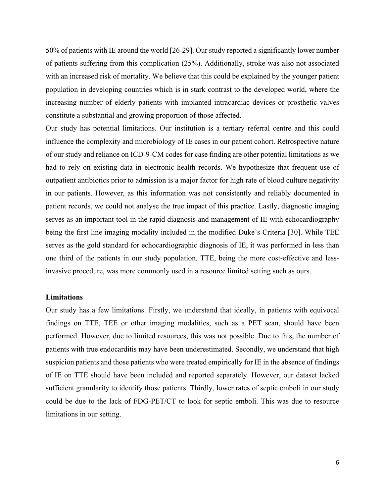50% of patients with IE around the world [26-29]. Our study reported a significantly lower number of patients suffering from this complication (25%). Additionally, stroke was also not associated with an increased risk of mortality. We believe that this could be explained by the younger patient population in developing countries which is in stark contrast to the developed world, where the increasing number of elderly patients with implanted intracardiac devices or prosthetic valves constitute a substantial and growing proportion of those affected.

Our study has potential limitations. Our institution is a tertiary referral centre and this could influence the complexity and microbiology of IE cases in our patient cohort. Retrospective nature of our study and reliance on ICD-9-CM codes for case finding are other potential limitations as we had to rely on existing data in electronic health records. We hypothesize that frequent use of outpatient antibiotics prior to admission is a major factor for high rate of blood culture negativity in our patients. However, as this information was not consistently and reliably documented in patient records, we could not analyse the true impact of this practice. Lastly, diagnostic imaging serves as an important tool in the rapid diagnosis and management of IE with echocardiography being the first line imaging modality included in the modified Duke's Criteria [30]. While TEE serves as the gold standard for echocardiographic diagnosis of IE, it was performed in less than one third of the patients in our study population. TTE, being the more cost-effective and lessinvasive procedure, was more commonly used in a resource limited setting such as ours.

#### **Limitations**

Our study has a few limitations. Firstly, we understand that ideally, in patients with equivocal findings on TTE, TEE or other imaging modalities, such as a PET scan, should have been performed. However, due to limited resources, this was not possible. Due to this, the number of patients with true endocarditis may have been underestimated. Secondly, we understand that high suspicion patients and those patients who were treated empirically for IE in the absence of findings of IE on TTE should have been included and reported separately. However, our dataset lacked sufficient granularity to identify those patients. Thirdly, lower rates of septic emboli in our study could be due to the lack of FDG-PET/CT to look for septic emboli. This was due to resource limitations in our setting.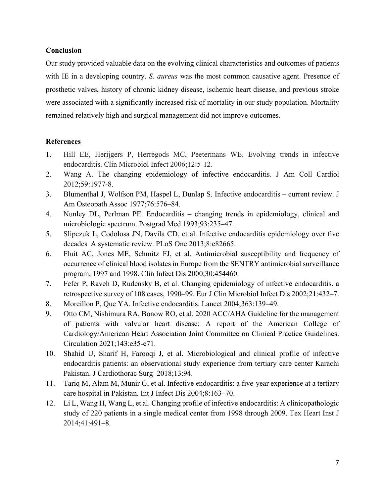## **Conclusion**

Our study provided valuable data on the evolving clinical characteristics and outcomes of patients with IE in a developing country. *S. aureus* was the most common causative agent. Presence of prosthetic valves, history of chronic kidney disease, ischemic heart disease, and previous stroke were associated with a significantly increased risk of mortality in our study population. Mortality remained relatively high and surgical management did not improve outcomes.

## **References**

- 1. Hill EE, Herijgers P, Herregods MC, Peetermans WE. Evolving trends in infective endocarditis. Clin Microbiol Infect 2006;12:5-12.
- 2. Wang A. The changing epidemiology of infective endocarditis. J Am Coll Cardiol 2012;59:1977-8.
- 3. Blumenthal J, Wolfson PM, Haspel L, Dunlap S. Infective endocarditis current review. J Am Osteopath Assoc 1977;76:576–84.
- 4. Nunley DL, Perlman PE. Endocarditis changing trends in epidemiology, clinical and microbiologic spectrum. Postgrad Med 1993;93:235–47.
- 5. Slipczuk L, Codolosa JN, Davila CD, et al. Infective endocarditis epidemiology over five decades  A systematic review. PLoS One 2013;8:e82665.
- 6. Fluit AC, Jones ME, Schmitz FJ, et al. Antimicrobial susceptibility and frequency of occurrence of clinical blood isolates in Europe from the SENTRY antimicrobial surveillance program, 1997 and 1998. Clin Infect Dis 2000;30:454460.
- 7. Fefer P, Raveh D, Rudensky B, et al. Changing epidemiology of infective endocarditis. a retrospective survey of 108 cases, 1990–99. Eur J Clin Microbiol Infect Dis 2002;21:432–7.
- 8. Moreillon P, Que YA. Infective endocarditis. Lancet 2004;363:139–49.
- 9. Otto CM, Nishimura RA, Bonow RO, et al. 2020 ACC/AHA Guideline for the management of patients with valvular heart disease: A report of the American College of Cardiology/American Heart Association Joint Committee on Clinical Practice Guidelines. Circulation 2021;143:e35-e71.
- 10. Shahid U, Sharif H, Farooqi J, et al. Microbiological and clinical profile of infective endocarditis patients: an observational study experience from tertiary care center Karachi Pakistan. J Cardiothorac Surg 2018;13:94.
- 11. Tariq M, Alam M, Munir G, et al. Infective endocarditis: a five-year experience at a tertiary care hospital in Pakistan. Int J Infect Dis 2004;8:163–70.
- 12. Li L, Wang H, Wang L, et al. Changing profile of infective endocarditis: A clinicopathologic study of 220 patients in a single medical center from 1998 through 2009. Tex Heart Inst J 2014;41:491–8.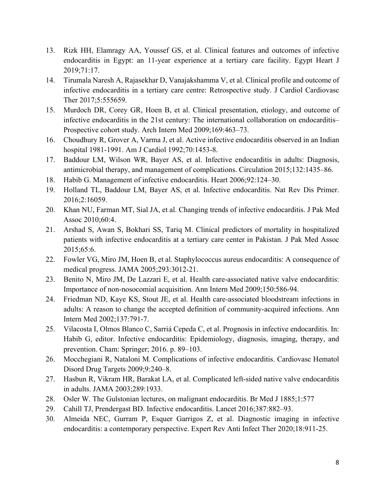- 13. Rizk HH, Elamragy AA, Youssef GS, et al. Clinical features and outcomes of infective endocarditis in Egypt: an 11-year experience at a tertiary care facility. Egypt Heart J 2019;71:17.
- 14. Tirumala Naresh A, Rajasekhar D, Vanajakshamma V, et al. Clinical profile and outcome of infective endocarditis in a tertiary care centre: Retrospective study. J Cardiol Cardiovasc Ther 2017;5:555659.
- 15. Murdoch DR, Corey GR, Hoen B, et al. Clinical presentation, etiology, and outcome of infective endocarditis in the 21st century: The international collaboration on endocarditis– Prospective cohort study. Arch Intern Med 2009;169:463–73.
- 16. Choudhury R, Grover A, Varma J, et al. Active infective endocarditis observed in an Indian hospital 1981-1991. Am J Cardiol 1992;70:1453-8.
- 17. Baddour LM, Wilson WR, Bayer AS, et al. Infective endocarditis in adults: Diagnosis, antimicrobial therapy, and management of complications. Circulation 2015;132:1435–86.
- 18. Habib G. Management of infective endocarditis. Heart 2006;92:124–30.
- 19. Holland TL, Baddour LM, Bayer AS, et al. Infective endocarditis. Nat Rev Dis Primer. 2016;2:16059.
- 20. Khan NU, Farman MT, Sial JA, et al. Changing trends of infective endocarditis. J Pak Med Assoc 2010;60:4.
- 21. Arshad S, Awan S, Bokhari SS, Tariq M. Clinical predictors of mortality in hospitalized patients with infective endocarditis at a tertiary care center in Pakistan. J Pak Med Assoc 2015;65:6.
- 22. Fowler VG, Miro JM, Hoen B, et al. Staphylococcus aureus endocarditis: A consequence of medical progress. JAMA 2005;293:3012-21.
- 23. Benito N, Miro JM, De Lazzari E, et al. Health care-associated native valve endocarditis: Importance of non-nosocomial acquisition. Ann Intern Med 2009;150:586-94.
- 24. Friedman ND, Kaye KS, Stout JE, et al. Health care-associated bloodstream infections in adults: A reason to change the accepted definition of community-acquired infections. Ann Intern Med 2002;137:791-7.
- 25. Vilacosta I, Olmos Blanco C, Sarriá Cepeda C, et al. Prognosis in infective endocarditis. In: Habib G, editor. Infective endocarditis: Epidemiology, diagnosis, imaging, therapy, and prevention. Cham: Springer; 2016. p. 89–103.
- 26. Mocchegiani R, Nataloni M. Complications of infective endocarditis. Cardiovasc Hematol Disord Drug Targets 2009;9:240–8.
- 27. Hasbun R, Vikram HR, Barakat LA, et al. Complicated left-sided native valve endocarditis in adults. JAMA 2003;289:1933.
- 28. Osler W. The Gulstonian lectures, on malignant endocarditis. Br Med J 1885;1:577
- 29. Cahill TJ, Prendergast BD. Infective endocarditis. Lancet 2016;387:882–93.
- 30. Almeida NEC, Gurram P, Esquer Garrigos Z, et al. Diagnostic imaging in infective endocarditis: a contemporary perspective. Expert Rev Anti Infect Ther 2020;18:911-25.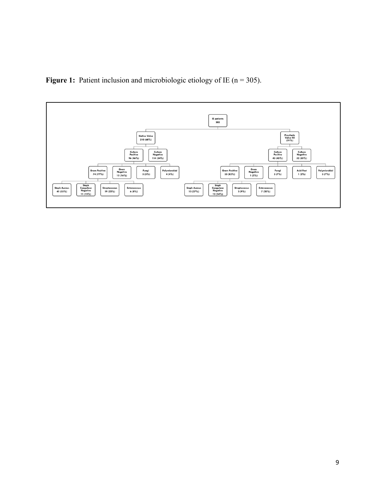**Figure 1:** Patient inclusion and microbiologic etiology of IE (n = 305).

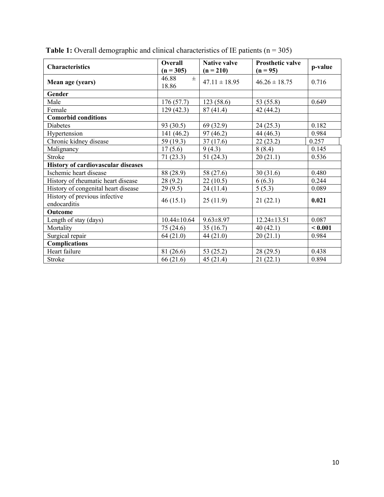| <b>Characteristics</b>                        | <b>Overall</b><br>$(n = 305)$ | <b>Native valve</b><br>$(n = 210)$ | <b>Prosthetic valve</b><br>$(n = 95)$ | p-value |
|-----------------------------------------------|-------------------------------|------------------------------------|---------------------------------------|---------|
| Mean age (years)                              | 46.88<br>$\pm$<br>18.86       | $47.11 \pm 18.95$                  | $46.26 \pm 18.75$                     | 0.716   |
| Gender                                        |                               |                                    |                                       |         |
| Male                                          | 176(57.7)                     | 123(58.6)                          | 53 (55.8)                             | 0.649   |
| Female                                        | 129(42.3)                     | 87(41.4)                           | 42 (44.2)                             |         |
| <b>Comorbid conditions</b>                    |                               |                                    |                                       |         |
| <b>Diabetes</b>                               | 93 (30.5)                     | 69 (32.9)                          | 24(25.3)                              | 0.182   |
| Hypertension                                  | 141 (46.2)                    | 97(46.2)                           | 44 (46.3)                             | 0.984   |
| Chronic kidney disease                        | 59 (19.3)                     | 37(17.6)                           | 22(23.2)                              | 0.257   |
| Malignancy                                    | 17(5.6)                       | 9(4.3)                             | 8(8.4)                                | 0.145   |
| Stroke                                        | 71(23.3)                      | 51(24.3)                           | 20(21.1)                              | 0.536   |
| <b>History of cardiovascular diseases</b>     |                               |                                    |                                       |         |
| Ischemic heart disease                        | 88 (28.9)                     | 58 (27.6)                          | 30(31.6)                              | 0.480   |
| History of rheumatic heart disease            | 28(9.2)                       | 22(10.5)                           | 6(6.3)                                | 0.244   |
| History of congenital heart disease           | 29(9.5)                       | 24(11.4)                           | 5(5.3)                                | 0.089   |
| History of previous infective<br>endocarditis | 46(15.1)                      | 25(11.9)                           | 21(22.1)                              | 0.021   |
| Outcome                                       |                               |                                    |                                       |         |
| Length of stay (days)                         | $10.44 \pm 10.64$             | $9.63 \pm 8.97$                    | $12.24 \pm 13.51$                     | 0.087   |
| Mortality                                     | 75 (24.6)                     | 35(16.7)                           | 40(42.1)                              | < 0.001 |
| Surgical repair                               | 64(21.0)                      | 44(21.0)                           | 20(21.1)                              | 0.984   |
| <b>Complications</b>                          |                               |                                    |                                       |         |
| Heart failure                                 | 81 (26.6)                     | 53 (25.2)                          | 28(29.5)                              | 0.438   |
| Stroke                                        | 66 (21.6)                     | 45(21.4)                           | 21(22.1)                              | 0.894   |

**Table 1:** Overall demographic and clinical characteristics of IE patients  $(n = 305)$